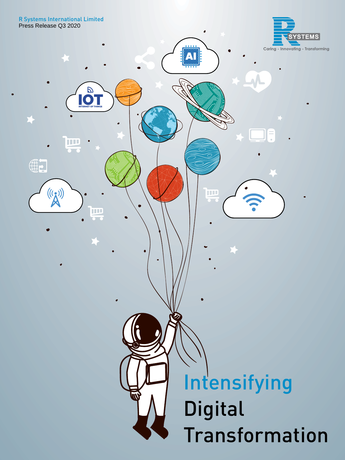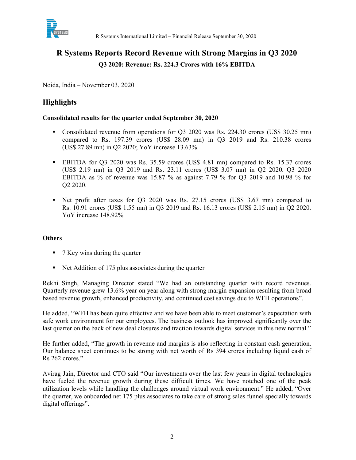

### R Systems Reports Record Revenue with Strong Margins in Q3 2020 Q3 2020: Revenue: Rs. 224.3 Crores with 16% EBITDA

Noida, India – November 03, 2020

### Highlights

#### Consolidated results for the quarter ended September 30, 2020

- Consolidated revenue from operations for Q3 2020 was Rs. 224.30 crores (US\$ 30.25 mn) compared to Rs. 197.39 crores (US\$ 28.09 mn) in Q3 2019 and Rs. 210.38 crores (US\$ 27.89 mn) in Q2 2020; YoY increase 13.63%.
- EBITDA for Q3 2020 was Rs. 35.59 crores (US\$ 4.81 mn) compared to Rs. 15.37 crores (US\$ 2.19 mn) in Q3 2019 and Rs. 23.11 crores (US\$ 3.07 mn) in Q2 2020. Q3 2020 EBITDA as % of revenue was 15.87 % as against 7.79 % for Q3 2019 and 10.98 % for Q2 2020.
- Net profit after taxes for Q3 2020 was Rs. 27.15 crores (US\$ 3.67 mn) compared to Rs. 10.91 crores (US\$ 1.55 mn) in Q3 2019 and Rs. 16.13 crores (US\$ 2.15 mn) in Q2 2020. YoY increase 148.92%

### **Others**

- 7 Key wins during the quarter
- Net Addition of 175 plus associates during the quarter

Rekhi Singh, Managing Director stated "We had an outstanding quarter with record revenues. Quarterly revenue grew 13.6% year on year along with strong margin expansion resulting from broad based revenue growth, enhanced productivity, and continued cost savings due to WFH operations".

He added, "WFH has been quite effective and we have been able to meet customer's expectation with safe work environment for our employees. The business outlook has improved significantly over the last quarter on the back of new deal closures and traction towards digital services in this new normal."

He further added, "The growth in revenue and margins is also reflecting in constant cash generation. Our balance sheet continues to be strong with net worth of Rs 394 crores including liquid cash of Rs 262 crores."

Avirag Jain, Director and CTO said "Our investments over the last few years in digital technologies have fueled the revenue growth during these difficult times. We have notched one of the peak utilization levels while handling the challenges around virtual work environment." He added, "Over the quarter, we onboarded net 175 plus associates to take care of strong sales funnel specially towards digital offerings".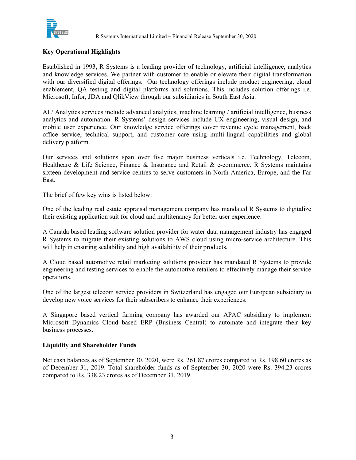

#### Key Operational Highlights

Established in 1993, R Systems is a leading provider of technology, artificial intelligence, analytics and knowledge services. We partner with customer to enable or elevate their digital transformation with our diversified digital offerings. Our technology offerings include product engineering, cloud enablement, QA testing and digital platforms and solutions. This includes solution offerings i.e. Microsoft, Infor, JDA and QlikView through our subsidiaries in South East Asia.

AI / Analytics services include advanced analytics, machine learning / artificial intelligence, business analytics and automation. R Systems' design services include UX engineering, visual design, and mobile user experience. Our knowledge service offerings cover revenue cycle management, back office service, technical support, and customer care using multi-lingual capabilities and global delivery platform.

Our services and solutions span over five major business verticals i.e. Technology, Telecom, Healthcare & Life Science, Finance & Insurance and Retail & e-commerce. R Systems maintains sixteen development and service centres to serve customers in North America, Europe, and the Far East.

The brief of few key wins is listed below:

One of the leading real estate appraisal management company has mandated R Systems to digitalize their existing application suit for cloud and multitenancy for better user experience.

A Canada based leading software solution provider for water data management industry has engaged R Systems to migrate their existing solutions to AWS cloud using micro-service architecture. This will help in ensuring scalability and high availability of their products.

A Cloud based automotive retail marketing solutions provider has mandated R Systems to provide engineering and testing services to enable the automotive retailers to effectively manage their service operations.

One of the largest telecom service providers in Switzerland has engaged our European subsidiary to develop new voice services for their subscribers to enhance their experiences.

A Singapore based vertical farming company has awarded our APAC subsidiary to implement Microsoft Dynamics Cloud based ERP (Business Central) to automate and integrate their key business processes.

#### Liquidity and Shareholder Funds

Net cash balances as of September 30, 2020, were Rs. 261.87 crores compared to Rs. 198.60 crores as of December 31, 2019. Total shareholder funds as of September 30, 2020 were Rs. 394.23 crores compared to Rs. 338.23 crores as of December 31, 2019.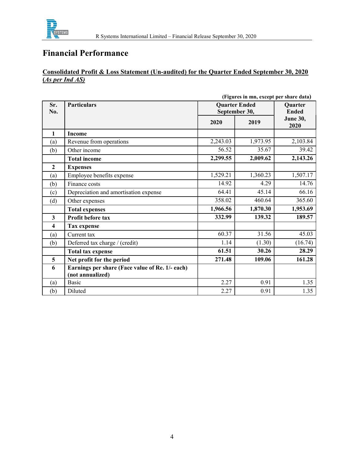

### Consolidated Profit & Loss Statement (Un-audited) for the Quarter Ended September 30, 2020 (As per Ind AS)

|                         | (Figures in mn, except per share data)          |                                       |                                |                 |
|-------------------------|-------------------------------------------------|---------------------------------------|--------------------------------|-----------------|
| Sr.<br>No.              | <b>Particulars</b>                              | <b>Quarter Ended</b><br>September 30, | <b>Ouarter</b><br><b>Ended</b> |                 |
|                         |                                                 |                                       |                                | <b>June 30,</b> |
|                         |                                                 | 2020                                  | 2019                           | 2020            |
| $\mathbf{1}$            | <b>Income</b>                                   |                                       |                                |                 |
| (a)                     | Revenue from operations                         | 2,243.03                              | 1,973.95                       | 2,103.84        |
| (b)                     | Other income                                    | 56.52                                 | 35.67                          | 39.42           |
|                         | <b>Total income</b>                             | 2,299.55                              | 2,009.62                       | 2,143.26        |
| $\overline{2}$          | <b>Expenses</b>                                 |                                       |                                |                 |
| (a)                     | Employee benefits expense                       | 1,529.21                              | 1,360.23                       | 1,507.17        |
| (b)                     | Finance costs                                   | 14.92                                 | 4.29                           | 14.76           |
| (c)                     | Depreciation and amortisation expense           | 64.41                                 | 45.14                          | 66.16           |
| (d)                     | Other expenses                                  | 358.02                                | 460.64                         | 365.60          |
|                         | <b>Total expenses</b>                           | 1,966.56                              | 1,870.30                       | 1,953.69        |
| $\overline{\mathbf{3}}$ | Profit before tax                               | 332.99                                | 139.32                         | 189.57          |
| 4                       | <b>Tax expense</b>                              |                                       |                                |                 |
| (a)                     | Current tax                                     | 60.37                                 | 31.56                          | 45.03           |
| (b)                     | Deferred tax charge / (credit)                  | 1.14                                  | (1.30)                         | (16.74)         |
|                         | <b>Total tax expense</b>                        | 61.51                                 | 30.26                          | 28.29           |
| 5                       | Net profit for the period                       | 271.48                                | 109.06                         | 161.28          |
| 6                       | Earnings per share (Face value of Re. 1/- each) |                                       |                                |                 |
|                         | (not annualized)                                |                                       |                                |                 |
| (a)                     | <b>Basic</b>                                    | 2.27                                  | 0.91                           | 1.35            |
| (b)                     | Diluted                                         | 2.27                                  | 0.91                           | 1.35            |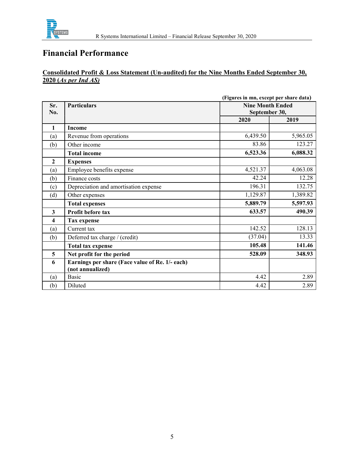

### Consolidated Profit & Loss Statement (Un-audited) for the Nine Months Ended September 30, 2020 (As per Ind AS)

|                         |                                                 | (Figures in mn, except per share data)   |          |  |
|-------------------------|-------------------------------------------------|------------------------------------------|----------|--|
| Sr.                     | <b>Particulars</b>                              | <b>Nine Month Ended</b><br>September 30, |          |  |
| No.                     |                                                 |                                          |          |  |
|                         |                                                 | 2020                                     | 2019     |  |
| 1                       | <b>Income</b>                                   |                                          |          |  |
| (a)                     | Revenue from operations                         | 6,439.50                                 | 5,965.05 |  |
| (b)                     | Other income                                    | 83.86                                    | 123.27   |  |
|                         | <b>Total income</b>                             | 6,523.36                                 | 6,088.32 |  |
| $\overline{2}$          | <b>Expenses</b>                                 |                                          |          |  |
| (a)                     | Employee benefits expense                       | 4,521.37                                 | 4,063.08 |  |
| (b)                     | Finance costs                                   | 42.24                                    | 12.28    |  |
| (c)                     | Depreciation and amortisation expense           | 196.31                                   | 132.75   |  |
| (d)                     | Other expenses                                  | 1,129.87                                 | 1,389.82 |  |
|                         | <b>Total expenses</b>                           | 5,889.79                                 | 5,597.93 |  |
| $\overline{\mathbf{3}}$ | Profit before tax                               | 633.57                                   | 490.39   |  |
| $\overline{\mathbf{4}}$ | <b>Tax expense</b>                              |                                          |          |  |
| (a)                     | Current tax                                     | 142.52                                   | 128.13   |  |
| (b)                     | Deferred tax charge / (credit)                  | (37.04)                                  | 13.33    |  |
|                         | <b>Total tax expense</b>                        | 105.48                                   | 141.46   |  |
| 5                       | Net profit for the period                       | 528.09                                   | 348.93   |  |
| 6                       | Earnings per share (Face value of Re. 1/- each) |                                          |          |  |
|                         | (not annualized)                                |                                          |          |  |
| (a)                     | <b>Basic</b>                                    | 4.42                                     | 2.89     |  |
| (b)                     | Diluted                                         | 4.42                                     | 2.89     |  |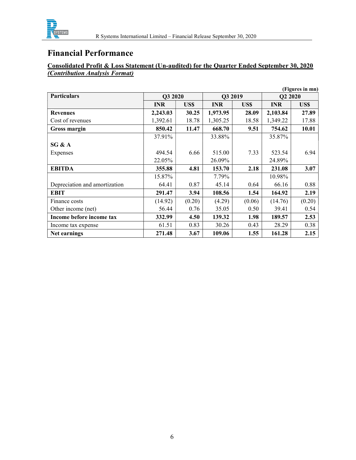

### Consolidated Profit & Loss Statement (Un-audited) for the Quarter Ended September 30, 2020 (Contribution Analysis Format)

| (Figures in mn)               |            |            |            |            |            |        |
|-------------------------------|------------|------------|------------|------------|------------|--------|
| <b>Particulars</b>            | Q3 2020    |            | Q3 2019    |            | Q2 2020    |        |
|                               | <b>INR</b> | <b>USS</b> | <b>INR</b> | <b>USS</b> | <b>INR</b> | US\$   |
| <b>Revenues</b>               | 2,243.03   | 30.25      | 1,973.95   | 28.09      | 2,103.84   | 27.89  |
| Cost of revenues              | 1,392.61   | 18.78      | 1,305.25   | 18.58      | 1,349.22   | 17.88  |
| Gross margin                  | 850.42     | 11.47      | 668.70     | 9.51       | 754.62     | 10.01  |
|                               | 37.91%     |            | 33.88%     |            | 35.87%     |        |
| SG & A                        |            |            |            |            |            |        |
| Expenses                      | 494.54     | 6.66       | 515.00     | 7.33       | 523.54     | 6.94   |
|                               | 22.05%     |            | 26.09%     |            | 24.89%     |        |
| <b>EBITDA</b>                 | 355.88     | 4.81       | 153.70     | 2.18       | 231.08     | 3.07   |
|                               | 15.87%     |            | 7.79%      |            | 10.98%     |        |
| Depreciation and amortization | 64.41      | 0.87       | 45.14      | 0.64       | 66.16      | 0.88   |
| <b>EBIT</b>                   | 291.47     | 3.94       | 108.56     | 1.54       | 164.92     | 2.19   |
| Finance costs                 | (14.92)    | (0.20)     | (4.29)     | (0.06)     | (14.76)    | (0.20) |
| Other income (net)            | 56.44      | 0.76       | 35.05      | 0.50       | 39.41      | 0.54   |
| Income before income tax      | 332.99     | 4.50       | 139.32     | 1.98       | 189.57     | 2.53   |
| Income tax expense            | 61.51      | 0.83       | 30.26      | 0.43       | 28.29      | 0.38   |
| Net earnings                  | 271.48     | 3.67       | 109.06     | 1.55       | 161.28     | 2.15   |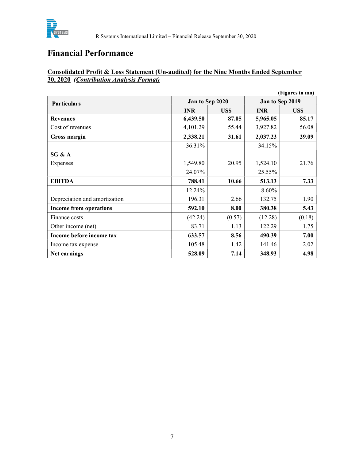

### Consolidated Profit & Loss Statement (Un-audited) for the Nine Months Ended September 30, 2020 (Contribution Analysis Format)

|                               |            |                 |            | (Figures in mn) |
|-------------------------------|------------|-----------------|------------|-----------------|
| <b>Particulars</b>            |            | Jan to Sep 2020 |            | Jan to Sep 2019 |
|                               | <b>INR</b> | US\$            | <b>INR</b> | US\$            |
| <b>Revenues</b>               | 6,439.50   | 87.05           | 5,965.05   | 85.17           |
| Cost of revenues              | 4,101.29   | 55.44           | 3,927.82   | 56.08           |
| Gross margin                  | 2,338.21   | 31.61           | 2,037.23   | 29.09           |
|                               | 36.31%     |                 | 34.15%     |                 |
| SG & A                        |            |                 |            |                 |
| Expenses                      | 1,549.80   | 20.95           | 1,524.10   | 21.76           |
|                               | 24.07%     |                 | 25.55%     |                 |
| <b>EBITDA</b>                 | 788.41     | 10.66           | 513.13     | 7.33            |
|                               | 12.24%     |                 | 8.60%      |                 |
| Depreciation and amortization | 196.31     | 2.66            | 132.75     | 1.90            |
| <b>Income from operations</b> | 592.10     | 8.00            | 380.38     | 5.43            |
| Finance costs                 | (42.24)    | (0.57)          | (12.28)    | (0.18)          |
| Other income (net)            | 83.71      | 1.13            | 122.29     | 1.75            |
| Income before income tax      | 633.57     | 8.56            | 490.39     | 7.00            |
| Income tax expense            | 105.48     | 1.42            | 141.46     | 2.02            |
| Net earnings                  | 528.09     | 7.14            | 348.93     | 4.98            |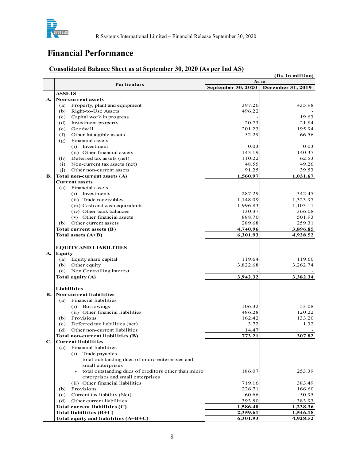

# Consolidated Balance Sheet as at September 30, 2020 (As per Ind AS) (Rs. in million)

|    | SYSTEMS<br>R Systems International Limited - Financial Release September 30, 2020 |                           |                      |
|----|-----------------------------------------------------------------------------------|---------------------------|----------------------|
|    | <b>Financial Performance</b>                                                      |                           |                      |
|    | <b>Consolidated Balance Sheet as at September 30, 2020 (As per Ind AS)</b>        |                           |                      |
|    |                                                                                   | As at                     | (Rs. in million)     |
|    | <b>Particulars</b>                                                                | <b>September 30, 2020</b> | December 31, 2019    |
| A. | <b>ASSETS</b><br><b>Non-current assets</b>                                        |                           |                      |
|    | Property, plant and equipment<br>(a)                                              | 397.26                    | 435.98               |
|    | Right-to-Use Assets<br>(b)                                                        | 496.22                    |                      |
|    | Capital work in progress<br>(c)<br>Investment property<br>(d)                     | 20.73                     | 19.63<br>21.84       |
|    | Goodwill<br>(e)                                                                   | 201.23                    | 195.94               |
|    | Other Intangible assets<br>(f)                                                    | 52.29                     | 66.56                |
|    | Financial assets<br>(g)<br>(i) Investment                                         | 0.03                      | 0.03                 |
|    | (ii) Other financial assets                                                       | 143.19                    | 140.37               |
|    | (h) Deferred tax assets (net)<br>Non-current tax assets (net)<br>(i)              | 110.22<br>48.55           | 62.53<br>49.26       |
|    | Other non-current assets<br>(i)                                                   | 91.25                     | 39.53                |
| В. | Total non-current assets (A)                                                      | 1,560.97                  | 1,031.67             |
|    | <b>Current assets</b><br>Financial assets<br>(a)                                  |                           |                      |
|    | (i) Investments                                                                   | 287.29                    | 342.45               |
|    | (ii) Trade receivables                                                            | 1,148.09                  | 1,323.97             |
|    | (iii) Cash and cash equivalents<br>(iv) Other bank balances                       | 1,996.83<br>130.37        | 1,103.11<br>366.08   |
|    | (v) Other financial assets                                                        | 888.70                    | 501.93               |
|    | (b) Other current assets<br>Total current assets (B)                              | 289.68<br>4,740.96        | 259.31<br>3,896.85   |
|    | Total assets $(A+B)$                                                              | 6,301.93                  | 4,928.52             |
|    |                                                                                   |                           |                      |
| A. | <b>EQUITY AND LIABILITIES</b><br><b>Equity</b>                                    |                           |                      |
|    | (a) Equity share capital                                                          | 119.64                    | 119.60               |
|    | Other equity<br>(b)                                                               | 3,822.68                  | 3,262.74             |
|    | (c) Non Controlling Interest<br>Total equity (A)                                  | 3,942.32                  | 3,382.34             |
|    |                                                                                   |                           |                      |
| В. | Liabilities<br>Non-current liabilities                                            |                           |                      |
|    | (a) Financial liabilities                                                         |                           |                      |
|    | (i) Borrowings                                                                    | 106.32                    | 53.08                |
|    | (ii) Other financial liabilities<br>(b) Provisions                                | 486.28<br>162.42          | 120.22<br>133.20     |
|    | Deferred tax liabilities (net)<br>(c)                                             | 3.72                      | 1.32                 |
|    | Other non-current liabilities<br>(d)                                              | 14.47                     |                      |
| C. | Total non-current liabilities (B)<br><b>Current liabilities</b>                   | 773.21                    | 307.82               |
|    | (a) Financial liabilities                                                         |                           |                      |
|    | (i) Trade payables                                                                |                           |                      |
|    | total outstanding dues of micro enterprises and<br>$\sim$<br>small enterprises    |                           |                      |
|    | total outstanding dues of creditors other than micro<br>$\blacksquare$            | 186.07                    | 253.39               |
|    | enterprises and small enterprises                                                 |                           |                      |
|    | (ii) Other financial liabilities<br>(b) Provisions                                | 719.16<br>226.71          | 383.49<br>166.60     |
|    | Current tax liability (Net)<br>(c)                                                | 60.66                     | 50.95                |
|    | Other current liabilities<br>(d)                                                  | 393.80                    | 383.93               |
|    | Total current liabilities (C)<br>Total liabilities (B+C)                          | 1,586.40<br>2,359.61      | 1,238.36<br>1,546.18 |
|    | Total equity and liabilities (A+B+C)                                              | 6,301.93                  | 4,928.52             |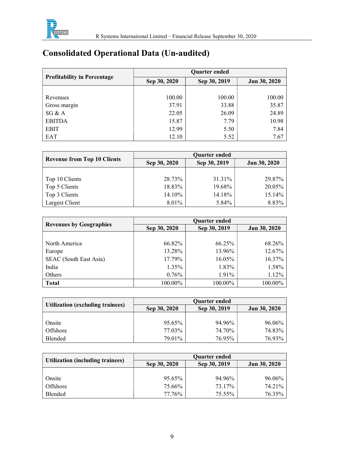

# Consolidated Operational Data (Un-audited)

|                                    | <b>Ouarter ended</b> |              |              |  |  |
|------------------------------------|----------------------|--------------|--------------|--|--|
| <b>Profitability in Percentage</b> | Sep 30, 2020         | Sep 30, 2019 | Jun 30, 2020 |  |  |
|                                    |                      |              |              |  |  |
| Revenues                           | 100.00               | 100.00       | 100.00       |  |  |
| Gross margin                       | 37.91                | 33.88        | 35.87        |  |  |
| SG & A                             | 22.05                | 26.09        | 24.89        |  |  |
| <b>EBITDA</b>                      | 15.87                | 7.79         | 10.98        |  |  |
| <b>EBIT</b>                        | 12.99                | 5.50         | 7.84         |  |  |
| EAT                                | 12.10                | 5.52         | 7.67         |  |  |

|                                    | <b>Ouarter ended</b> |              |              |  |
|------------------------------------|----------------------|--------------|--------------|--|
| <b>Revenue from Top 10 Clients</b> | Sep 30, 2020         | Sep 30, 2019 | Jun 30, 2020 |  |
|                                    |                      |              |              |  |
| Top 10 Clients                     | 28.73%               | 31.31%       | 29.87%       |  |
| Top 5 Clients                      | 18.83%               | 19.68%       | 20.05%       |  |
| Top 3 Clients                      | 14.10%               | 14.18%       | 15.14%       |  |
| Largest Client                     | 8.01%                | 5.84%        | 8.83%        |  |

| <b>Revenues by Geographies</b> | <b>Quarter ended</b> |              |              |  |
|--------------------------------|----------------------|--------------|--------------|--|
|                                | Sep 30, 2020         | Sep 30, 2019 | Jun 30, 2020 |  |
|                                |                      |              |              |  |
| North America                  | 66.82%               | 66.25%       | 68.26%       |  |
| Europe                         | 13.28%               | 13.96%       | 12.67%       |  |
| SEAC (South East Asia)         | 17.79%               | 16.05%       | 16.37%       |  |
| India                          | 1.35%                | 1.83%        | 1.58%        |  |
| Others                         | $0.76\%$             | 1.91%        | 1.12%        |  |
| <b>Total</b>                   | 100.00%              | 100.00%      | 100.00%      |  |

| <b>Utilization (excluding trainees)</b> | <b>Ouarter ended</b> |              |                     |  |
|-----------------------------------------|----------------------|--------------|---------------------|--|
|                                         | Sep 30, 2020         | Sep 30, 2019 | <b>Jun 30, 2020</b> |  |
|                                         |                      |              |                     |  |
| Onsite                                  | 95.65%               | 94.96%       | 96.06%              |  |
| Offshore                                | 77.03%               | 74.70%       | 74.83%              |  |
| <b>Blended</b>                          | 79.01%               | 76.95%       | 76.93%              |  |

|                                         | <b>Ouarter ended</b> |              |                     |  |
|-----------------------------------------|----------------------|--------------|---------------------|--|
| <b>Utilization (including trainees)</b> | Sep 30, 2020         | Sep 30, 2019 | <b>Jun 30, 2020</b> |  |
|                                         |                      |              |                     |  |
| Onsite                                  | 95.65%               | 94.96%       | 96.06%              |  |
| Offshore                                | 75.66%               | 73.17%       | 74.21%              |  |
| Blended                                 | 77.76%               | 75.55%       | 76.35%              |  |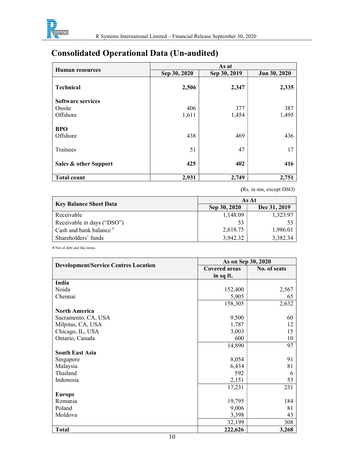

# Consolidated Operational Data (Un-audited)

|                          | As at        |              |              |  |  |
|--------------------------|--------------|--------------|--------------|--|--|
| Human resources          | Sep 30, 2020 | Sep 30, 2019 | Jun 30, 2020 |  |  |
| <b>Technical</b>         | 2,506        | 2,347        | 2,335        |  |  |
| <b>Software services</b> |              |              |              |  |  |
| Onsite                   | 406          | 377          | 387          |  |  |
| Offshore                 | 1,611        | 1,454        | 1,495        |  |  |
| <b>BPO</b><br>Offshore   | 438          | 469          | 436          |  |  |
| Trainees                 | 51           | 47           | 17           |  |  |
| Sales & other Support    | 425          | 402          | 416          |  |  |
| <b>Total count</b>       | 2,931        | 2,749        | 2,751        |  |  |

(Rs. in mn, except DSO)

|                            | As At        |              |  |
|----------------------------|--------------|--------------|--|
| Key Balance Sheet Data     | Sep 30, 2020 | Dec 31, 2019 |  |
| Receivable                 | 1,148.09     | 1,323.97     |  |
| Receivable in days ("DSO") | 53           |              |  |
| Cash and bank balance #    | 2,618.75     | 1,986.01     |  |
| Shareholders' funds        | 3,942.32     | 3,382.34     |  |

# Net of debt and like items.

| <b>Development/Service Centres Location</b> | As on Sep 30, 2020   |              |
|---------------------------------------------|----------------------|--------------|
|                                             | <b>Covered areas</b> | No. of seats |
|                                             | in sq ft.            |              |
| India                                       |                      |              |
| Noida                                       | 152,400              | 2,567        |
| Chennai                                     | 5,905                | 65           |
|                                             | 158,305              | 2,632        |
| <b>North America</b>                        |                      |              |
| Sacramento, CA, USA                         | 9,500                | 60           |
| Milpitas, CA, USA                           | 1,787                | 12           |
| Chicago, IL, USA                            | 3,003                | 15           |
| Ontario, Canada                             | 600                  | 10           |
|                                             | 14,890               | 97           |
| <b>South East Asia</b>                      |                      |              |
| Singapore                                   | 8,054                | 91           |
| Malaysia                                    | 6,434                | 81           |
| Thailand                                    | 592                  | 6            |
| Indonesia                                   | 2,151                | 53           |
|                                             | 17,231               | 231          |
| <b>Europe</b>                               |                      |              |
| Romania                                     | 19,795               | 184          |
| Poland                                      | 9,006                | 81           |
| Moldova                                     | 3,398                | 43           |
|                                             | 32,199               | 308          |
| <b>Total</b>                                | 222,626              | 3,268        |